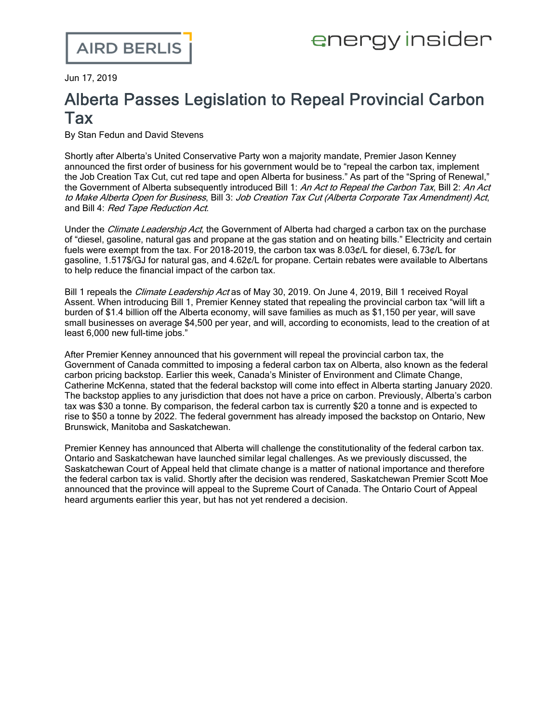Jun 17, 2019

## Alberta Passes Legislation to Repeal Provincial Carbon Tax

By Stan Fedun and David Stevens

Shortly after Alberta's United Conservative Party won a majority mandate, Premier Jason Kenney [announced](https://www.alberta.ca/release.cfm) the first order of business for his government would be to "repeal the carbon tax, implement the Job Creation Tax Cut, cut red tape and open Alberta for business." As part of the "Spring of Renewal," the Government of Alberta subsequently introduced Bill 1: An Act to Repeal the Carbon Tax, Bill 2: An Act to Make Alberta Open for Business, Bill 3: Job Creation Tax Cut (Alberta Corporate Tax Amendment) Act, and Bill 4: Red Tape Reduction Act.

Under the *Climate Leadership Act*, the Government of Alberta had [charged](https://www.alberta.ca/climate-carbon-pricing.aspx) a carbon tax on the purchase of "diesel, gasoline, natural gas and propane at the gas station and on heating bills." Electricity and certain fuels were exempt from the tax. For 2018-2019, the carbon tax was 8.03¢/L for diesel, 6.73¢/L for gasoline, 1.517\$/GJ for natural gas, and 4.62¢/L for propane. Certain rebates were available to Albertans to help reduce the financial impact of the carbon tax.

[Bill](https://www.assembly.ab.ca/ISYS/LADDAR_files/docs/bills/bill/legislature_30/session_1/20190521_bill-001.pdf) 1 repeals the *Climate Leadership Act* as of May 30, 2019. On June 4, 2019, Bill 1 [received](https://www.assembly.ab.ca/net/index.aspx) Royal Assent. When [introducing](http://www.assembly.ab.ca/ISYS/LADDAR_files/docs/hansards/han/legislature_30/session_1/20190522_1500_01_han.pdf#page=8) Bill 1, Premier Kenney stated that repealing the provincial carbon tax "will lift a burden of \$1.4 billion off the Alberta economy, will save families as much as \$1,150 per year, will save small businesses on average \$4,500 per year, and will, according to economists, lead to the creation of at least 6,000 new full-time jobs."

After Premier Kenney announced that his government will repeal the provincial carbon tax, the Government of Canada [committed](https://www.theglobeandmail.com/canada/alberta/article-federal-environment-minister-vows-to-impose-carbon-pricing-on-alberta/) to imposing a federal carbon tax on Alberta, also known as the federal carbon pricing backstop. Earlier this week, Canada's Minister of Environment and Climate Change, Catherine McKenna, [stated](https://www.theglobeandmail.com/business/article-federal-carbon-tax-would-have-to-double-to-meet-canadas-climate/) that the federal backstop will come into effect in Alberta starting January 2020. The backstop [applies](https://www.canada.ca/en/environment-climate-change/services/climate-change/pricing-pollution-how-it-will-work.html) to any jurisdiction that does not have a price on carbon. Previously, Alberta's carbon tax was \$30 a tonne. By comparison, the federal carbon tax is currently \$20 a tonne and is expected to rise to \$50 a tonne by 2022. The federal government has already [imposed](https://www.airdberlis.com/insights/blogs/energyinsider/post/ei-item/federal-government-announces-carbon-tax-systems-for-ontario-new-brunswick-manitoba-and-saskatchewan) the backstop on Ontario, New Brunswick, Manitoba and Saskatchewan.

Premier Kenney has [announced](https://www.theglobeandmail.com/canada/alberta/article-alberta-to-scrap-carbon-tax-next-week-kenneys-ucp-government-says-in/) that Alberta will challenge the constitutionality of the federal carbon tax. Ontario and Saskatchewan have launched similar legal challenges. As we previously [discussed](https://www.airdberlis.com/insights/blogs/energyinsider/post/ei-item/saskatchewan-court-of-appeal-affirms-federal-carbon-pricing-act-is-constitutional), the Saskatchewan Court of Appeal held that climate change is a matter of national importance and therefore the federal carbon tax is valid. Shortly after the decision was rendered, Saskatchewan Premier Scott Moe [announced](https://www.theglobeandmail.com/canada/article-saskatchewan-court-rules-federal-carbon-tax-constitutional-in-first-of/) that the province will appeal to the Supreme Court of Canada. The Ontario Court of Appeal heard arguments earlier this year, but has not yet rendered a decision.